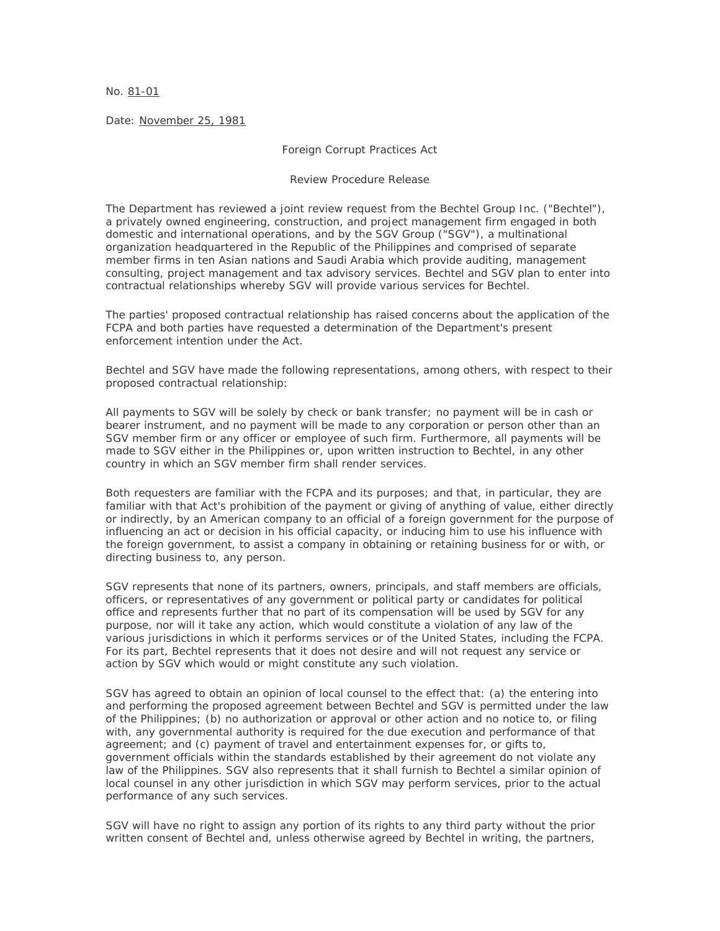No. 81-01

Date: November 25, 1981

Foreign Corrupt Practices Act

Review Procedure Release

The Department has reviewed a joint review request from the Bechtel Group Inc. ("Bechtel"), a privately owned engineering, construction, and project management firm engaged in both domestic and international operations, and by the SGV Group ("SGV"), a multinational organization headquartered in the Republic of the Philippines and comprised of separate member firms in ten Asian nations and Saudi Arabia which provide auditing, management consulting, project management and tax advisory services. Bechtel and SGV plan to enter into contractual relationships whereby SGV will provide various services for Bechtel.

The parties' proposed contractual relationship has raised concerns about the application of the FCPA and both parties have requested a determination of the Department's present enforcement intention under the Act.

Bechtel and SGV have made the following representations, among others, with respect to their proposed contractual relationship:

All payments to SGV will be solely by check or bank transfer; no payment will be in cash or bearer instrument, and no payment will be made to any corporation or person other than an SGV member firm or any officer or employee of such firm. Furthermore, all payments will be made to SGV either in the Philippines or, upon written instruction to Bechtel, in any other country in which an SGV member firm shall render services.

Both requesters are familiar with the FCPA and its purposes; and that, in particular, they are familiar with that Act's prohibition of the payment or giving of anything of value, either directly or indirectly, by an American company to an official of a foreign government for the purpose of influencing an act or decision in his official capacity, or inducing him to use his influence with the foreign government, to assist a company in obtaining or retaining business for or with, or directing business to, any person.

SGV represents that none of its partners, owners, principals, and staff members are officials, officers, or representatives of any government or political party or candidates for political office and represents further that no part of its compensation will be used by SGV for any purpose, nor will it take any action, which would constitute a violation of any law of the various jurisdictions in which it performs services or of the United States, including the FCPA. For its part, Bechtel represents that it does not desire and will not request any service or action by SGV which would or might constitute any such violation.

SGV has agreed to obtain an opinion of local counsel to the effect that: (a) the entering into and performing the proposed agreement between Bechtel and SGV is permitted under the law of the Philippines; (b) no authorization or approval or other action and no notice to, or filing with, any governmental authority is required for the due execution and performance of that agreement; and (c) payment of travel and entertainment expenses for, or gifts to, government officials within the standards established by their agreement do not violate any law of the Philippines. SGV also represents that it shall furnish to Bechtel a similar opinion of local counsel in any other jurisdiction in which SGV may perform services, prior to the actual performance of any such services.

SGV will have no right to assign any portion of its rights to any third party without the prior written consent of Bechtel and, unless otherwise agreed by Bechtel in writing, the partners,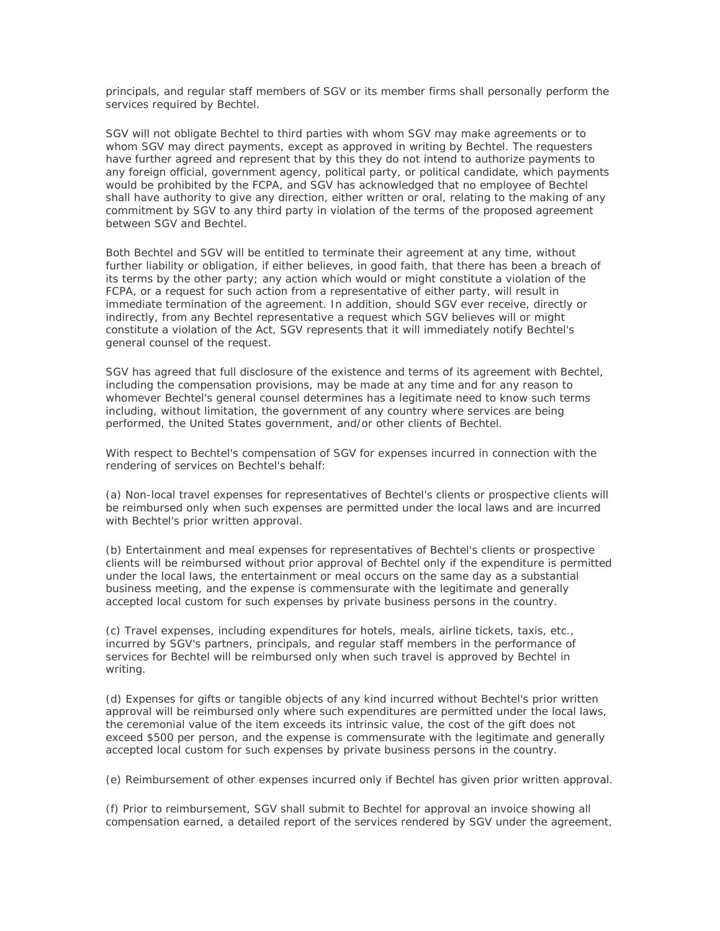principals, and regular staff members of SGV or its member firms shall personally perform the services required by Bechtel.

SGV will not obligate Bechtel to third parties with whom SGV may make agreements or to whom SGV may direct payments, except as approved in writing by Bechtel. The requesters have further agreed and represent that by this they do not intend to authorize payments to any foreign official, government agency, political party, or political candidate, which payments would be prohibited by the FCPA, and SGV has acknowledged that no employee of Bechtel shall have authority to give any direction, either written or oral, relating to the making of any commitment by SGV to any third party in violation of the terms of the proposed agreement between SGV and Bechtel.

Both Bechtel and SGV will be entitled to terminate their agreement at any time, without further liability or obligation, if either believes, in good faith, that there has been a breach of its terms by the other party; any action which would or might constitute a violation of the FCPA, or a request for such action from a representative of either party, will result in immediate termination of the agreement. In addition, should SGV ever receive, directly or indirectly, from any Bechtel representative a request which SGV believes will or might constitute a violation of the Act, SGV represents that it will immediately notify Bechtel's general counsel of the request.

SGV has agreed that full disclosure of the existence and terms of its agreement with Bechtel, including the compensation provisions, may be made at any time and for any reason to whomever Bechtel's general counsel determines has a legitimate need to know such terms including, without limitation, the government of any country where services are being performed, the United States government, and/or other clients of Bechtel.

With respect to Bechtel's compensation of SGV for expenses incurred in connection with the rendering of services on Bechtel's behalf:

(a) Non-local travel expenses for representatives of Bechtel's clients or prospective clients will be reimbursed only when such expenses are permitted under the local laws and are incurred with Bechtel's prior written approval.

(b) Entertainment and meal expenses for representatives of Bechtel's clients or prospective clients will be reimbursed without prior approval of Bechtel only if the expenditure is permitted under the local laws, the entertainment or meal occurs on the same day as a substantial business meeting, and the expense is commensurate with the legitimate and generally accepted local custom for such expenses by private business persons in the country.

(c) Travel expenses, including expenditures for hotels, meals, airline tickets, taxis, etc., incurred by SGV's partners, principals, and regular staff members in the performance of services for Bechtel will be reimbursed only when such travel is approved by Bechtel in writing.

(d) Expenses for gifts or tangible objects of any kind incurred without Bechtel's prior written approval will be reimbursed only where such expenditures are permitted under the local laws, the ceremonial value of the item exceeds its intrinsic value, the cost of the gift does not exceed \$500 per person, and the expense is commensurate with the legitimate and generally accepted local custom for such expenses by private business persons in the country.

(e) Reimbursement of other expenses incurred only if Bechtel has given prior written approval.

(f) Prior to reimbursement, SGV shall submit to Bechtel for approval an invoice showing all compensation earned, a detailed report of the services rendered by SGV under the agreement,